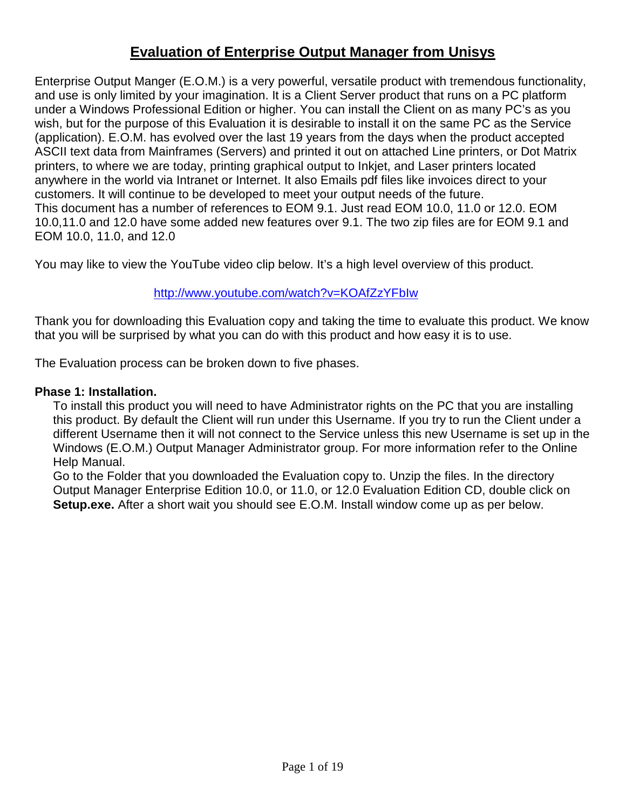# **Evaluation of Enterprise Output Manager from Unisys**

Enterprise Output Manger (E.O.M.) is a very powerful, versatile product with tremendous functionality, and use is only limited by your imagination. It is a Client Server product that runs on a PC platform under a Windows Professional Edition or higher. You can install the Client on as many PC's as you wish, but for the purpose of this Evaluation it is desirable to install it on the same PC as the Service (application). E.O.M. has evolved over the last 19 years from the days when the product accepted ASCII text data from Mainframes (Servers) and printed it out on attached Line printers, or Dot Matrix printers, to where we are today, printing graphical output to Inkjet, and Laser printers located anywhere in the world via Intranet or Internet. It also Emails pdf files like invoices direct to your customers. It will continue to be developed to meet your output needs of the future. This document has a number of references to EOM 9.1. Just read EOM 10.0, 11.0 or 12.0. EOM 10.0,11.0 and 12.0 have some added new features over 9.1. The two zip files are for EOM 9.1 and EOM 10.0, 11.0, and 12.0

You may like to view the YouTube video clip below. It's a high level overview of this product.

### http://www.youtube.com/watch?v=KOAfZzYFbIw

Thank you for downloading this Evaluation copy and taking the time to evaluate this product. We know that you will be surprised by what you can do with this product and how easy it is to use.

The Evaluation process can be broken down to five phases.

#### **Phase 1: Installation.**

To install this product you will need to have Administrator rights on the PC that you are installing this product. By default the Client will run under this Username. If you try to run the Client under a different Username then it will not connect to the Service unless this new Username is set up in the Windows (E.O.M.) Output Manager Administrator group. For more information refer to the Online Help Manual.

Go to the Folder that you downloaded the Evaluation copy to. Unzip the files. In the directory Output Manager Enterprise Edition 10.0, or 11.0, or 12.0 Evaluation Edition CD, double click on **Setup.exe.** After a short wait you should see E.O.M. Install window come up as per below.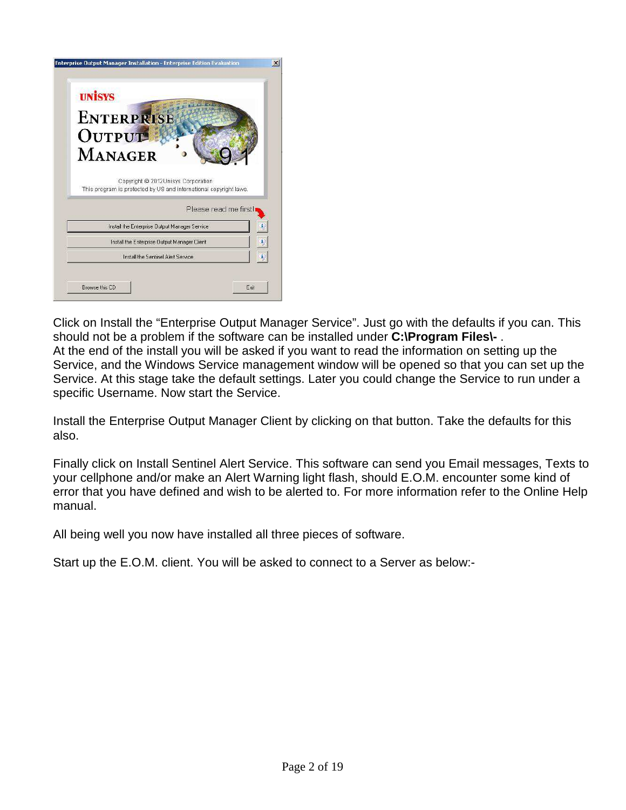| <b>UNISYS</b>                                                                                            |                       |    |
|----------------------------------------------------------------------------------------------------------|-----------------------|----|
| <b>ENTERPRISE</b>                                                                                        |                       |    |
| OUTPUT                                                                                                   |                       |    |
| <b>MANAGER</b>                                                                                           |                       |    |
| Copyright @ 2012 Unisys Corporation<br>This program is protected by US and international copyright laws. | Please read me first! |    |
| Install the Enterprise Output Manager Service                                                            |                       |    |
| Install the Enterprise Output Manager Client                                                             |                       |    |
| Install the Sentinel Alert Service                                                                       |                       | đ. |

Click on Install the "Enterprise Output Manager Service". Just go with the defaults if you can. This should not be a problem if the software can be installed under **C:\Program Files\-** . At the end of the install you will be asked if you want to read the information on setting up the Service, and the Windows Service management window will be opened so that you can set up the Service. At this stage take the default settings. Later you could change the Service to run under a specific Username. Now start the Service.

Install the Enterprise Output Manager Client by clicking on that button. Take the defaults for this also.

Finally click on Install Sentinel Alert Service. This software can send you Email messages, Texts to your cellphone and/or make an Alert Warning light flash, should E.O.M. encounter some kind of error that you have defined and wish to be alerted to. For more information refer to the Online Help manual.

All being well you now have installed all three pieces of software.

Start up the E.O.M. client. You will be asked to connect to a Server as below:-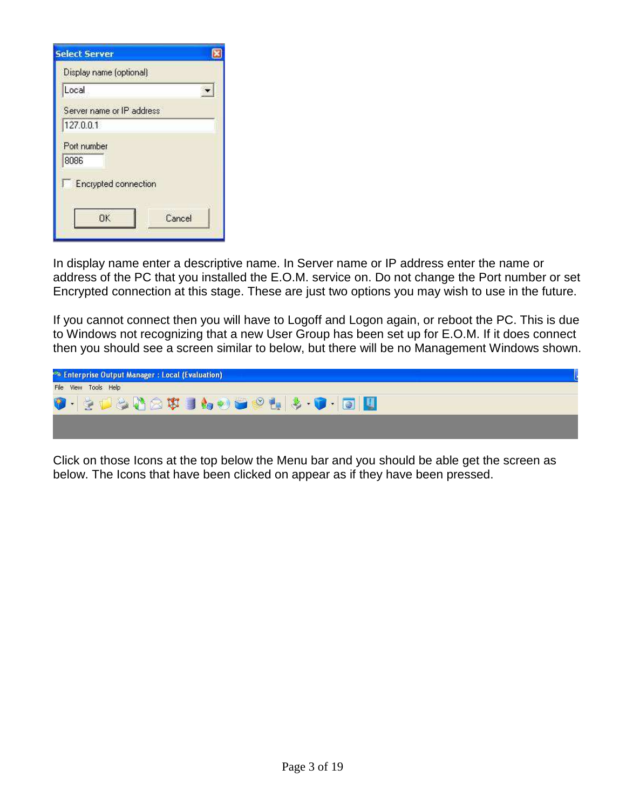| <b>Select Server</b>        |        |
|-----------------------------|--------|
| Display name (optional)     |        |
| Local                       |        |
| Server name or IP address   |        |
| 127.0.0.1                   |        |
| Port number<br>8086         |        |
| <b>Encrypted connection</b> |        |
| OΚ                          | Cancel |

In display name enter a descriptive name. In Server name or IP address enter the name or address of the PC that you installed the E.O.M. service on. Do not change the Port number or set Encrypted connection at this stage. These are just two options you may wish to use in the future.

If you cannot connect then you will have to Logoff and Logon again, or reboot the PC. This is due to Windows not recognizing that a new User Group has been set up for E.O.M. If it does connect then you should see a screen similar to below, but there will be no Management Windows shown.



Click on those Icons at the top below the Menu bar and you should be able get the screen as below. The Icons that have been clicked on appear as if they have been pressed.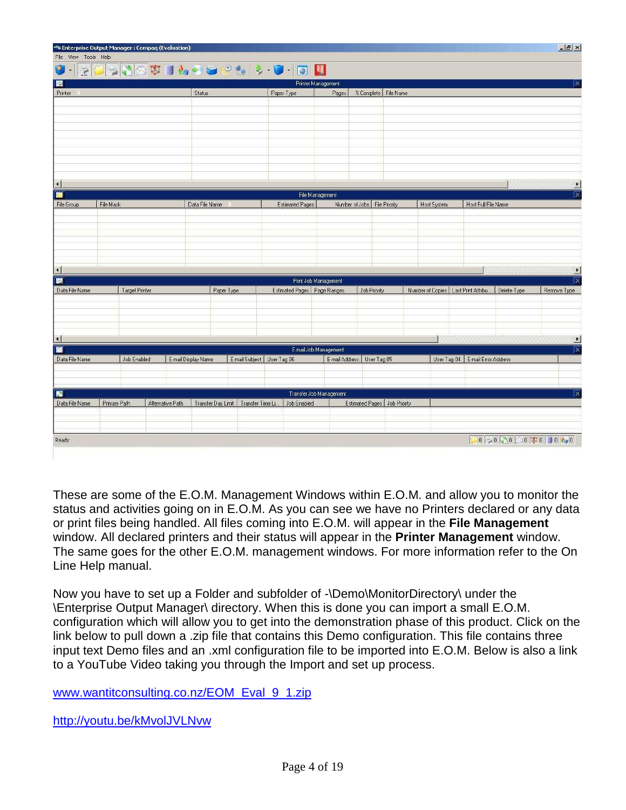| File View Tools Help<br>O<br>$ \mathcal{Z} $<br>$\overline{\phantom{a}}$ |                |                  |                     |                                        |                             |                            |              |                              |                                       |                                    |               | $-15x$                                 |
|--------------------------------------------------------------------------|----------------|------------------|---------------------|----------------------------------------|-----------------------------|----------------------------|--------------|------------------------------|---------------------------------------|------------------------------------|---------------|----------------------------------------|
|                                                                          |                |                  |                     |                                        |                             | $\mathbf{u}$               |              |                              |                                       |                                    |               |                                        |
| R                                                                        |                |                  |                     |                                        |                             | Printer Management         |              |                              |                                       |                                    |               | ΙX                                     |
| Printer /                                                                |                |                  | Status              |                                        | Paper Type                  | Pages                      |              | % Complete   File Name       |                                       |                                    |               |                                        |
|                                                                          |                |                  |                     |                                        |                             |                            |              |                              |                                       |                                    |               |                                        |
|                                                                          |                |                  |                     |                                        |                             |                            |              |                              |                                       |                                    |               |                                        |
|                                                                          |                |                  |                     |                                        |                             |                            |              |                              |                                       |                                    |               |                                        |
|                                                                          |                |                  |                     |                                        |                             |                            |              |                              |                                       |                                    |               |                                        |
|                                                                          |                |                  |                     |                                        |                             |                            |              |                              |                                       |                                    |               |                                        |
|                                                                          |                |                  |                     |                                        |                             |                            |              |                              |                                       |                                    |               |                                        |
| $\left  \cdot \right $                                                   |                |                  |                     |                                        |                             |                            |              |                              |                                       |                                    |               | $\blacktriangleright$                  |
| $\bullet$                                                                |                |                  |                     |                                        |                             | File Management            |              |                              |                                       |                                    |               | x                                      |
| File Group                                                               | File Mask      |                  | Data File Name /    |                                        | Estimated Pages             |                            |              | Number of Jobs File Priority | <b>Host System</b>                    | Host Full File Name                |               |                                        |
|                                                                          |                |                  |                     |                                        |                             |                            |              |                              |                                       |                                    |               |                                        |
|                                                                          |                |                  |                     |                                        |                             |                            |              |                              |                                       |                                    |               |                                        |
|                                                                          |                |                  |                     |                                        |                             |                            |              |                              |                                       |                                    |               |                                        |
|                                                                          |                |                  |                     |                                        |                             |                            |              |                              |                                       |                                    |               |                                        |
| $\left  \right $                                                         |                |                  |                     |                                        |                             |                            |              |                              |                                       |                                    |               | $\blacktriangleright$                  |
| E<br>Data File Name                                                      | Target Printer |                  | Paper Type          |                                        | Estimated Pages Page Ranges | Print Job Management       | Job Priority |                              | Number of Copies   Last Print Attribu |                                    | Delete Type   | $\overline{\mathbf{x}}$<br>Remove Type |
|                                                                          |                |                  |                     |                                        |                             |                            |              |                              |                                       |                                    |               |                                        |
|                                                                          |                |                  |                     |                                        |                             |                            |              |                              |                                       |                                    |               |                                        |
|                                                                          |                |                  |                     |                                        |                             |                            |              |                              |                                       |                                    |               |                                        |
| $\left  \cdot \right $                                                   |                |                  |                     |                                        |                             |                            |              |                              |                                       |                                    |               | $\vert \cdot \vert$                    |
| 廖                                                                        |                |                  |                     |                                        |                             | E-mail Job Management      |              |                              |                                       |                                    |               | $\overline{\mathbf{x}}$                |
| Data File Name                                                           | Job Enabled    |                  | E-mail Display Name | E-mail Subject   User Tag 06           |                             | E-mail Address User Tag 05 |              |                              |                                       | User Tag 04   E-mail Error Address |               |                                        |
|                                                                          |                |                  |                     |                                        |                             |                            |              |                              |                                       |                                    |               |                                        |
|                                                                          |                |                  |                     |                                        |                             |                            |              |                              |                                       |                                    |               |                                        |
| R<br>Data File Name                                                      | Primary Path   | Alternative Path |                     | Transfer Day Limit   Transfer Time Li. | Job Enabled                 | Transfer Job Management    |              | Estimated Pages Job Priority |                                       |                                    |               | $\overline{\mathsf{x}}$                |
|                                                                          |                |                  |                     |                                        |                             |                            |              |                              |                                       |                                    |               |                                        |
|                                                                          |                |                  |                     |                                        |                             |                            |              |                              |                                       |                                    |               |                                        |
| Ready                                                                    |                |                  |                     |                                        |                             |                            |              |                              |                                       |                                    | 0000000000000 |                                        |

These are some of the E.O.M. Management Windows within E.O.M. and allow you to monitor the status and activities going on in E.O.M. As you can see we have no Printers declared or any data or print files being handled. All files coming into E.O.M. will appear in the **File Management** window. All declared printers and their status will appear in the **Printer Management** window. The same goes for the other E.O.M. management windows. For more information refer to the On Line Help manual.

Now you have to set up a Folder and subfolder of -\Demo\MonitorDirectory\ under the \Enterprise Output Manager\ directory. When this is done you can import a small E.O.M. configuration which will allow you to get into the demonstration phase of this product. Click on the link below to pull down a .zip file that contains this Demo configuration. This file contains three input text Demo files and an .xml configuration file to be imported into E.O.M. Below is also a link to a YouTube Video taking you through the Import and set up process.

www.wantitconsulting.co.nz/EOM\_Eval\_9\_1.zip

http://youtu.be/kMvolJVLNvw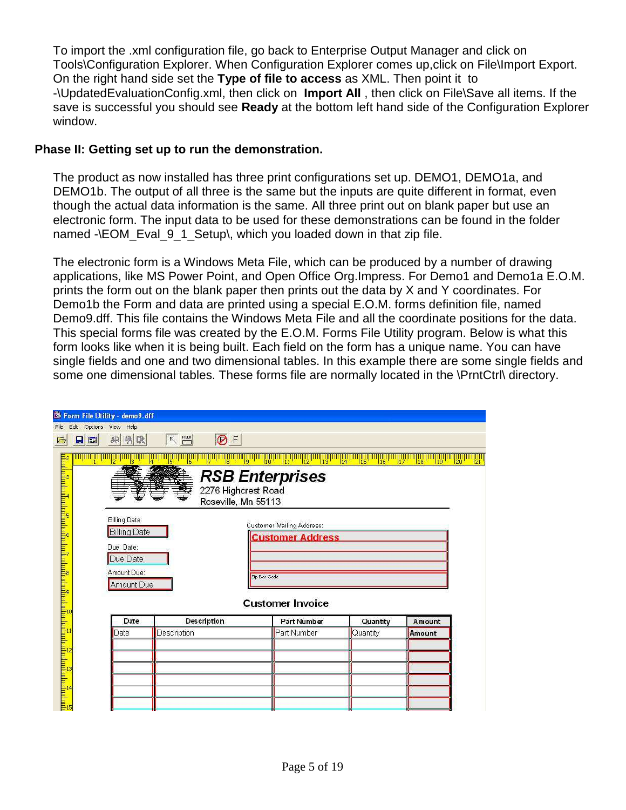To import the .xml configuration file, go back to Enterprise Output Manager and click on Tools\Configuration Explorer. When Configuration Explorer comes up,click on File\Import Export. On the right hand side set the **Type of file to access** as XML. Then point it to -\UpdatedEvaluationConfig.xml, then click on **Import All** , then click on File\Save all items. If the save is successful you should see **Ready** at the bottom left hand side of the Configuration Explorer window.

#### **Phase II: Getting set up to run the demonstration.**

The product as now installed has three print configurations set up. DEMO1, DEMO1a, and DEMO1b. The output of all three is the same but the inputs are quite different in format, even though the actual data information is the same. All three print out on blank paper but use an electronic form. The input data to be used for these demonstrations can be found in the folder named -\EOM\_Eval\_9\_1\_Setup\, which you loaded down in that zip file.

The electronic form is a Windows Meta File, which can be produced by a number of drawing applications, like MS Power Point, and Open Office Org.Impress. For Demo1 and Demo1a E.O.M. prints the form out on the blank paper then prints out the data by X and Y coordinates. For Demo1b the Form and data are printed using a special E.O.M. forms definition file, named Demo9.dff. This file contains the Windows Meta File and all the coordinate positions for the data. This special forms file was created by the E.O.M. Forms File Utility program. Below is what this form looks like when it is being built. Each field on the form has a unique name. You can have single fields and one and two dimensional tables. In this example there are some single fields and some one dimensional tables. These forms file are normally located in the \PrntCtrl\ directory.

|                                                                                                                                                                                                                                  |                                  | Form File Utility - demo9.dff                                                |             |                           |                                                                      |                |                 |  |
|----------------------------------------------------------------------------------------------------------------------------------------------------------------------------------------------------------------------------------|----------------------------------|------------------------------------------------------------------------------|-------------|---------------------------|----------------------------------------------------------------------|----------------|-----------------|--|
| ⊝                                                                                                                                                                                                                                | File Edit Options View Help<br>9 | 明<br>鸭味                                                                      | $\nabla$    | $\overline{\bigotimes}$ F |                                                                      |                |                 |  |
|                                                                                                                                                                                                                                  |                                  |                                                                              | 6           | Roseville, Mn 55113       | 13<br><b>RSB Enterprises</b><br>2276 Highcrest Road                  | W.<br>ïš<br>16 | !!!<br>19<br>18 |  |
| յան անգամանական հայտնաբան է հայտնական հայտնական հայտնական հայտնական հայտնական հայտնական հայտնական հայտնական հա<br>Այս է հայտնաբան հայտնաբան հայտնաբան հայտնաբան հայտնական հայտնական հայտնական հայտնաբան հայտնաբան հայտնաբան հայտ |                                  | Billing Date:<br><b>Billing Date</b><br>Due Date:<br>Due Date<br>Amount Due: |             |                           | Customer Mailing Address:<br><b>Customer Address</b><br>Zip Bar Code |                |                 |  |
|                                                                                                                                                                                                                                  |                                  | Amount Due                                                                   |             |                           | <b>Customer Invoice</b>                                              |                |                 |  |
|                                                                                                                                                                                                                                  |                                  | Date                                                                         |             | <b>Description</b>        | <b>Part Number</b>                                                   | Quantity       | <b>A</b> mount  |  |
|                                                                                                                                                                                                                                  |                                  | Date                                                                         | Description |                           | Part Number                                                          | Quantity       | Amount          |  |
|                                                                                                                                                                                                                                  |                                  |                                                                              |             |                           |                                                                      |                |                 |  |
|                                                                                                                                                                                                                                  |                                  |                                                                              |             |                           |                                                                      |                |                 |  |
|                                                                                                                                                                                                                                  |                                  |                                                                              |             |                           |                                                                      |                |                 |  |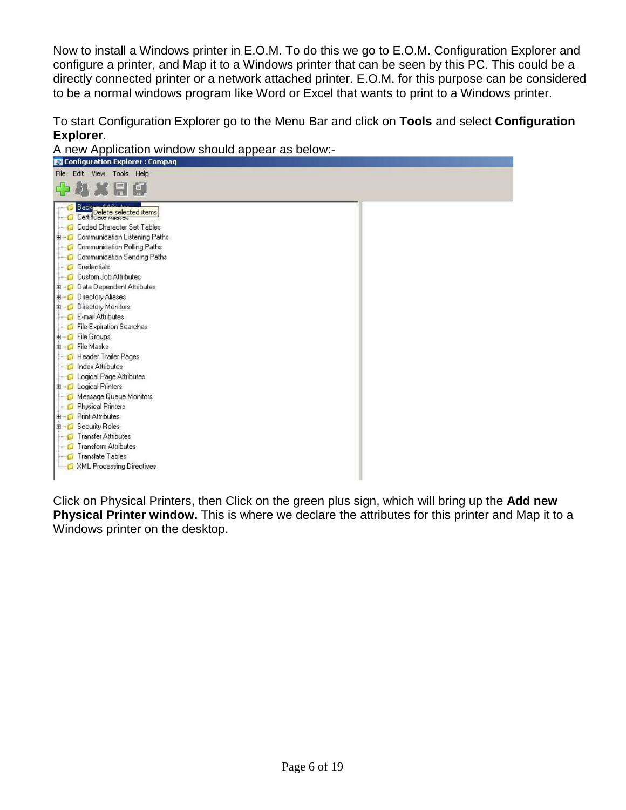Now to install a Windows printer in E.O.M. To do this we go to E.O.M. Configuration Explorer and configure a printer, and Map it to a Windows printer that can be seen by this PC. This could be a directly connected printer or a network attached printer. E.O.M. for this purpose can be considered to be a normal windows program like Word or Excel that wants to print to a Windows printer.

To start Configuration Explorer go to the Menu Bar and click on **Tools** and select **Configuration Explorer**.

| A new Application window should appear as below:-                                                                                                                                                                                                                                                                                                                                                                                                                                    |  |
|--------------------------------------------------------------------------------------------------------------------------------------------------------------------------------------------------------------------------------------------------------------------------------------------------------------------------------------------------------------------------------------------------------------------------------------------------------------------------------------|--|
| <b>Configuration Explorer: Compaq</b>                                                                                                                                                                                                                                                                                                                                                                                                                                                |  |
| File Edit View Tools Help                                                                                                                                                                                                                                                                                                                                                                                                                                                            |  |
| 机火用印                                                                                                                                                                                                                                                                                                                                                                                                                                                                                 |  |
| $A_{1111}$<br><b>Backet</b><br>Certificate selected items<br>Coded Character Set Tables<br><b>E</b> Communication Listening Paths<br>Communication Polling Paths<br>Communication Sending Paths<br><b>Credentials</b><br>Custom Job Attributes<br><b>E</b> Data Dependent Attributes<br><b>E</b> Directory Aliases<br><b>E</b> Directory Monitors<br>E-mail Attributes<br>File Expiration Searches<br><b>E</b> File Groups<br>Elle Masks<br>Header Trailer Pages<br>Index Attributes |  |
| Logical Page Attributes                                                                                                                                                                                                                                                                                                                                                                                                                                                              |  |
| <b>E</b> Logical Printers                                                                                                                                                                                                                                                                                                                                                                                                                                                            |  |
| Message Queue Monitors                                                                                                                                                                                                                                                                                                                                                                                                                                                               |  |
| Physical Printers                                                                                                                                                                                                                                                                                                                                                                                                                                                                    |  |
| <b>E</b> Print Attributes                                                                                                                                                                                                                                                                                                                                                                                                                                                            |  |
| <b>E</b> Security Roles                                                                                                                                                                                                                                                                                                                                                                                                                                                              |  |
| <b>Transfer Attributes</b>                                                                                                                                                                                                                                                                                                                                                                                                                                                           |  |
| Transform Attributes                                                                                                                                                                                                                                                                                                                                                                                                                                                                 |  |
| <b>Translate Tables</b>                                                                                                                                                                                                                                                                                                                                                                                                                                                              |  |
| XML Processing Directives                                                                                                                                                                                                                                                                                                                                                                                                                                                            |  |

Click on Physical Printers, then Click on the green plus sign, which will bring up the **Add new Physical Printer window.** This is where we declare the attributes for this printer and Map it to a Windows printer on the desktop.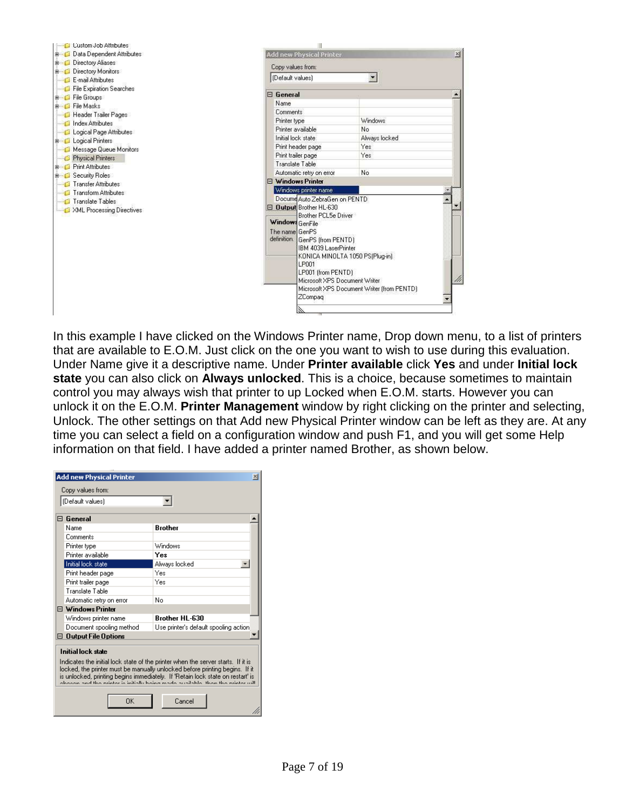

In this example I have clicked on the Windows Printer name, Drop down menu, to a list of printers that are available to E.O.M. Just click on the one you want to wish to use during this evaluation. Under Name give it a descriptive name. Under **Printer available** click **Yes** and under **Initial lock state** you can also click on **Always unlocked**. This is a choice, because sometimes to maintain control you may always wish that printer to up Locked when E.O.M. starts. However you can unlock it on the E.O.M. **Printer Management** window by right clicking on the printer and selecting, Unlock. The other settings on that Add new Physical Printer window can be left as they are. At any time you can select a field on a configuration window and push F1, and you will get some Help information on that field. I have added a printer named Brother, as shown below.

| <b>Add new Physical Printer</b> | $\vert x \vert$                                                                                                                                                                                                                                                                                                                      |
|---------------------------------|--------------------------------------------------------------------------------------------------------------------------------------------------------------------------------------------------------------------------------------------------------------------------------------------------------------------------------------|
| Copy values from:               |                                                                                                                                                                                                                                                                                                                                      |
| [(Default values)               |                                                                                                                                                                                                                                                                                                                                      |
|                                 |                                                                                                                                                                                                                                                                                                                                      |
| $\Box$ General                  |                                                                                                                                                                                                                                                                                                                                      |
| Name                            | <b>Brother</b>                                                                                                                                                                                                                                                                                                                       |
| Comments                        |                                                                                                                                                                                                                                                                                                                                      |
| Printer type                    | Windows                                                                                                                                                                                                                                                                                                                              |
| Printer available               | Yes                                                                                                                                                                                                                                                                                                                                  |
| Initial lock state              | Always locked                                                                                                                                                                                                                                                                                                                        |
| Print header page               | Yes                                                                                                                                                                                                                                                                                                                                  |
| Print trailer page              | Yes                                                                                                                                                                                                                                                                                                                                  |
| Translate Table                 |                                                                                                                                                                                                                                                                                                                                      |
| Automatic retry on error        | No                                                                                                                                                                                                                                                                                                                                   |
| $\boxminus$ Windows Printer     |                                                                                                                                                                                                                                                                                                                                      |
| Windows printer name            | <b>Brother HI-630</b>                                                                                                                                                                                                                                                                                                                |
| Document spooling method        | Use printer's default spooling action                                                                                                                                                                                                                                                                                                |
| $\boxdot$ Output File Options   |                                                                                                                                                                                                                                                                                                                                      |
| <b>Initial lock state</b>       |                                                                                                                                                                                                                                                                                                                                      |
|                                 | Indicates the initial lock state of the printer when the server starts. If it is<br>locked, the printer must be manually unlocked before printing begins. If it<br>is unlocked, printing begins immediately. If 'Retain lock state on restart' is<br>oboson and the printer is initially being made assilable. Henn the printer will |
| ΠK                              | Cancel                                                                                                                                                                                                                                                                                                                               |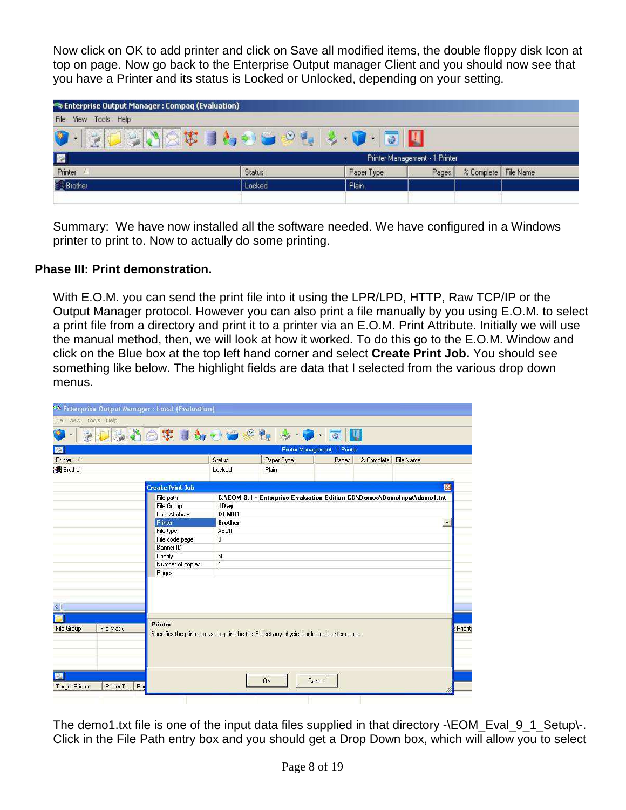Now click on OK to add printer and click on Save all modified items, the double floppy disk Icon at top on page. Now go back to the Enterprise Output manager Client and you should now see that you have a Printer and its status is Locked or Unlocked, depending on your setting.

| View<br>Tools<br>Help<br>File |                                               |            |                                |                        |  |
|-------------------------------|-----------------------------------------------|------------|--------------------------------|------------------------|--|
| <b>Service</b>                | $\mathbf{d}$ $\mathbf{e}_{\mathbf{q}}$<br>LK. | 6          |                                |                        |  |
| $\mathbb{Z}$                  |                                               |            | Printer Management - 1 Printer |                        |  |
| Printer                       | Status                                        | Paper Type | Pages                          | % Complete   File Name |  |
|                               |                                               |            |                                |                        |  |

Summary: We have now installed all the software needed. We have configured in a Windows printer to print to. Now to actually do some printing.

### **Phase III: Print demonstration.**

With E.O.M. you can send the print file into it using the LPR/LPD, HTTP, Raw TCP/IP or the Output Manager protocol. However you can also print a file manually by you using E.O.M. to select a print file from a directory and print it to a printer via an E.O.M. Print Attribute. Initially we will use the manual method, then, we will look at how it worked. To do this go to the E.O.M. Window and click on the Blue box at the top left hand corner and select **Create Print Job.** You should see something like below. The highlight fields are data that I selected from the various drop down menus.

| File View Tools Help |           |                         |                |                                                                                                                                                                                                                                                                                                                                                                                                                                                                                    |                                |                                      |                         |
|----------------------|-----------|-------------------------|----------------|------------------------------------------------------------------------------------------------------------------------------------------------------------------------------------------------------------------------------------------------------------------------------------------------------------------------------------------------------------------------------------------------------------------------------------------------------------------------------------|--------------------------------|--------------------------------------|-------------------------|
|                      |           |                         |                | $\oplus \textbf{1} \otimes \textbf{1} \otimes \textbf{1} \otimes \textbf{1} \otimes \textbf{1} \otimes \textbf{1} \otimes \textbf{1} \otimes \textbf{1} \otimes \textbf{1} \otimes \textbf{1} \otimes \textbf{1} \otimes \textbf{1} \otimes \textbf{1} \otimes \textbf{1} \otimes \textbf{1} \otimes \textbf{1} \otimes \textbf{1} \otimes \textbf{1} \otimes \textbf{1} \otimes \textbf{1} \otimes \textbf{1} \otimes \textbf{1} \otimes \textbf{1} \otimes \textbf{1} \otimes \$ | U<br>0                         |                                      |                         |
| 圞                    |           |                         |                |                                                                                                                                                                                                                                                                                                                                                                                                                                                                                    | Printer Management - 1 Printer |                                      |                         |
| Printer /            |           |                         | Status         | Paper Type                                                                                                                                                                                                                                                                                                                                                                                                                                                                         | Pages                          | <b><i>%</i></b> Complete   File Name |                         |
| <b>Brother</b>       |           |                         | Locked         | Plain                                                                                                                                                                                                                                                                                                                                                                                                                                                                              |                                |                                      |                         |
|                      |           |                         |                |                                                                                                                                                                                                                                                                                                                                                                                                                                                                                    |                                |                                      |                         |
|                      |           | <b>Create Print Job</b> |                |                                                                                                                                                                                                                                                                                                                                                                                                                                                                                    |                                |                                      | $\mathbf{\overline{x}}$ |
|                      |           | File path               |                | C:\EOM 9.1 - Enterprise Evaluation Edition CD\Demos\DemoInput\demo1.txt                                                                                                                                                                                                                                                                                                                                                                                                            |                                |                                      |                         |
|                      |           | File Group              | 1Day           |                                                                                                                                                                                                                                                                                                                                                                                                                                                                                    |                                |                                      |                         |
|                      |           | <b>Print Attribute</b>  | DEM01          |                                                                                                                                                                                                                                                                                                                                                                                                                                                                                    |                                |                                      |                         |
|                      |           | Printer                 | <b>Brother</b> |                                                                                                                                                                                                                                                                                                                                                                                                                                                                                    |                                |                                      | ٠                       |
|                      |           | File type               | ASCII          |                                                                                                                                                                                                                                                                                                                                                                                                                                                                                    |                                |                                      |                         |
|                      |           | File code page          | 0              |                                                                                                                                                                                                                                                                                                                                                                                                                                                                                    |                                |                                      |                         |
|                      |           | <b>Banner ID</b>        |                |                                                                                                                                                                                                                                                                                                                                                                                                                                                                                    |                                |                                      |                         |
|                      |           | Priority                | M              |                                                                                                                                                                                                                                                                                                                                                                                                                                                                                    |                                |                                      |                         |
|                      |           | Number of copies        | ĩ              |                                                                                                                                                                                                                                                                                                                                                                                                                                                                                    |                                |                                      |                         |
|                      |           | Pages                   |                |                                                                                                                                                                                                                                                                                                                                                                                                                                                                                    |                                |                                      |                         |
|                      |           |                         |                |                                                                                                                                                                                                                                                                                                                                                                                                                                                                                    |                                |                                      |                         |
|                      |           |                         |                |                                                                                                                                                                                                                                                                                                                                                                                                                                                                                    |                                |                                      |                         |
|                      |           |                         |                |                                                                                                                                                                                                                                                                                                                                                                                                                                                                                    |                                |                                      |                         |
| K.                   |           |                         |                |                                                                                                                                                                                                                                                                                                                                                                                                                                                                                    |                                |                                      |                         |
|                      |           |                         |                |                                                                                                                                                                                                                                                                                                                                                                                                                                                                                    |                                |                                      |                         |
| <b>File Group</b>    | File Mask | Printer                 |                |                                                                                                                                                                                                                                                                                                                                                                                                                                                                                    |                                |                                      |                         |
|                      |           |                         |                | Specifies the printer to use to print the file. Select any physical or logical printer name.                                                                                                                                                                                                                                                                                                                                                                                       |                                |                                      |                         |
|                      |           |                         |                |                                                                                                                                                                                                                                                                                                                                                                                                                                                                                    |                                |                                      |                         |
|                      |           |                         |                |                                                                                                                                                                                                                                                                                                                                                                                                                                                                                    |                                |                                      |                         |
|                      |           |                         |                |                                                                                                                                                                                                                                                                                                                                                                                                                                                                                    |                                |                                      |                         |
|                      |           |                         |                |                                                                                                                                                                                                                                                                                                                                                                                                                                                                                    |                                |                                      |                         |
|                      |           |                         |                |                                                                                                                                                                                                                                                                                                                                                                                                                                                                                    |                                |                                      |                         |
|                      |           |                         |                | OK                                                                                                                                                                                                                                                                                                                                                                                                                                                                                 | Cancel                         |                                      |                         |

The demo1.txt file is one of the input data files supplied in that directory -\EOM\_Eval\_9\_1\_Setup\-. Click in the File Path entry box and you should get a Drop Down box, which will allow you to select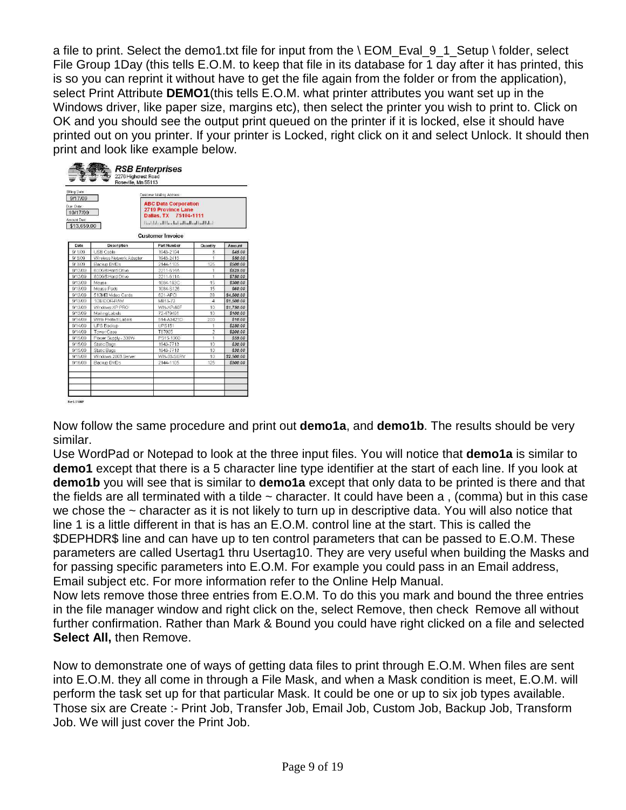a file to print. Select the demo1.txt file for input from the \ EOM\_Eval\_9\_1\_Setup \ folder, select File Group 1Day (this tells E.O.M. to keep that file in its database for 1 day after it has printed, this is so you can reprint it without have to get the file again from the folder or from the application), select Print Attribute **DEMO1**(this tells E.O.M. what printer attributes you want set up in the Windows driver, like paper size, margins etc), then select the printer you wish to print to. Click on OK and you should see the output print queued on the printer if it is locked, else it should have printed out on you printer. If your printer is Locked, right click on it and select Unlock. It should then print and look like example below.

| 9/17/09                                             |                          | Customer Maling Address:                                                                                   |                         |            |
|-----------------------------------------------------|--------------------------|------------------------------------------------------------------------------------------------------------|-------------------------|------------|
| Due Date:<br>10/17/09<br>Amount Due:<br>\$13,659.00 |                          | <b>ABC Data Corporation</b><br>2719 Province Lane<br>Dallas, TX 75104-1111<br>Harldad Harlahalla Balladhil |                         |            |
|                                                     |                          | <b>Customer Invoice</b>                                                                                    |                         |            |
| Date                                                | Description              | <b>Part Number</b>                                                                                         | Quantity                | Amount     |
| 9/1/09                                              | USB Cable                | 1943-2194                                                                                                  | $\overline{3}$          | \$45.00    |
| 9/3/09                                              | Wireless Network Adapter | 1943-2415                                                                                                  | ä                       | \$50.00    |
| 9/3/09                                              | <b>Backup DVDs</b>       | 2144-1105                                                                                                  | 125                     | \$500.00   |
| 9/12/09                                             | 600GB Hard Drive         | 2211-614A                                                                                                  | ł                       | \$525.00   |
| 9/12/09                                             | 800GB Hard Drive         | 2211-611A                                                                                                  | $\overline{1}$          | \$750.00   |
| 9/13/09                                             | Mouse                    | 1084-193C                                                                                                  | 15                      | \$300.00   |
| 9/13/09                                             | Mouse Pads               | 1084-S126                                                                                                  | 15                      | \$60.00    |
| 9/13/09                                             | 512MB Video Cards        | 621-APCL                                                                                                   | 38                      | \$4,500.00 |
| 9/13/09                                             | 1GB DDR-RAM              | M813-72                                                                                                    | $\overline{4}$          | \$1,500.00 |
| 9/13/09                                             | Windows XP PRO           | WIN-XP-BOF                                                                                                 | 10                      | \$1,750.00 |
| 9/13/09                                             | Mailing Labels           | 72-479491                                                                                                  | 1 <sub>0</sub>          | \$100.00   |
| 9/14/09                                             | Write Protect Labels     | 514-A3421D                                                                                                 | 200                     | \$10.00    |
| 9/14/09                                             | <b>UPS Backup</b>        | <b>UPS151</b>                                                                                              | 1                       | \$250.00   |
| 9/14/09                                             | Tower Case               | T87005                                                                                                     | $\overline{\mathbf{z}}$ | \$200.00   |
| 9/15/09                                             | Power Supply - 300W      | PS15-1300                                                                                                  | ï                       | \$59.00    |
| 9/15/09                                             | Static Bags              | 1943-7713                                                                                                  | 10                      | \$30.00    |
| 9/15/09                                             | Static Bags              | 1943-7713                                                                                                  | 10                      | \$30.00    |
| 9/15/09                                             | Windows 2003 Server      | WIN-03-SERV                                                                                                | 10                      | \$2,500.00 |
| 9/16/09                                             | Backup DVDs              | 2144-1105                                                                                                  | 125                     | \$500.00   |
|                                                     |                          |                                                                                                            |                         |            |

Now follow the same procedure and print out **demo1a**, and **demo1b**. The results should be very similar.

Use WordPad or Notepad to look at the three input files. You will notice that **demo1a** is similar to **demo1** except that there is a 5 character line type identifier at the start of each line. If you look at **demo1b** you will see that is similar to **demo1a** except that only data to be printed is there and that the fields are all terminated with a tilde  $\sim$  character. It could have been a, (comma) but in this case we chose the  $\sim$  character as it is not likely to turn up in descriptive data. You will also notice that line 1 is a little different in that is has an E.O.M. control line at the start. This is called the \$DEPHDR\$ line and can have up to ten control parameters that can be passed to E.O.M. These parameters are called Usertag1 thru Usertag10. They are very useful when building the Masks and for passing specific parameters into E.O.M. For example you could pass in an Email address, Email subject etc. For more information refer to the Online Help Manual.

Now lets remove those three entries from E.O.M. To do this you mark and bound the three entries in the file manager window and right click on the, select Remove, then check Remove all without further confirmation. Rather than Mark & Bound you could have right clicked on a file and selected **Select All,** then Remove.

Now to demonstrate one of ways of getting data files to print through E.O.M. When files are sent into E.O.M. they all come in through a File Mask, and when a Mask condition is meet, E.O.M. will perform the task set up for that particular Mask. It could be one or up to six job types available. Those six are Create :- Print Job, Transfer Job, Email Job, Custom Job, Backup Job, Transform Job. We will just cover the Print Job.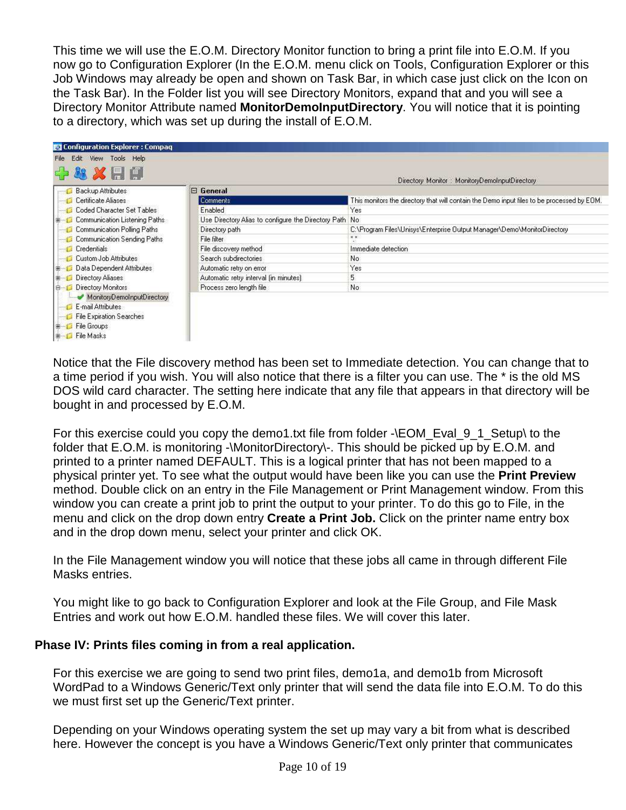This time we will use the E.O.M. Directory Monitor function to bring a print file into E.O.M. If you now go to Configuration Explorer (In the E.O.M. menu click on Tools, Configuration Explorer or this Job Windows may already be open and shown on Task Bar, in which case just click on the Icon on the Task Bar). In the Folder list you will see Directory Monitors, expand that and you will see a Directory Monitor Attribute named **MonitorDemoInputDirectory**. You will notice that it is pointing to a directory, which was set up during the install of E.O.M.

| Configuration Explorer : Compaq              |                                                        |                                                                                            |
|----------------------------------------------|--------------------------------------------------------|--------------------------------------------------------------------------------------------|
| File Edit View Tools Help                    |                                                        |                                                                                            |
| 1919                                         |                                                        | Directory Monitor: MonitoryDemoInputDirectory                                              |
| Backup Attributes                            | $\boxminus$ General                                    |                                                                                            |
| Certificate Aliases                          | <b>Comments</b>                                        | This monitors the directory that will contain the Demo input files to be processed by EOM. |
| Coded Character Set Tables                   | Enabled                                                | Yes                                                                                        |
| Communication Listening Paths<br><b>B-13</b> | Use Directory Alias to configure the Directory Path No |                                                                                            |
| Communication Polling Paths                  | Directory path                                         | C:\Program Files\Unisys\Enterprise Output Manager\Demo\MonitorDirectory                    |
| Communication Sending Paths                  | File filter                                            | $\times$ $\times$                                                                          |
| Credentials                                  | File discovery method                                  | Immediate detection                                                                        |
| Custom Job Attributes                        | Search subdirectories                                  | No                                                                                         |
| Data Dependent Attributes<br>由日              | Automatic retry on error                               | Yes                                                                                        |
| Directory Aliases<br><b>H-1</b>              | Automatic retry interval (in minutes)                  | 5                                                                                          |
| Directory Monitors<br>E-                     | Process zero length file                               | No                                                                                         |
| MonitoryDemoInputDirectory                   |                                                        |                                                                                            |
| E-mail Attributes                            |                                                        |                                                                                            |
| <b>File Expiration Searches</b>              |                                                        |                                                                                            |
| File Groups<br>B.                            |                                                        |                                                                                            |
| <b>E</b> File Masks                          |                                                        |                                                                                            |

Notice that the File discovery method has been set to Immediate detection. You can change that to a time period if you wish. You will also notice that there is a filter you can use. The \* is the old MS DOS wild card character. The setting here indicate that any file that appears in that directory will be bought in and processed by E.O.M.

For this exercise could you copy the demo1.txt file from folder -\EOM\_Eval\_9\_1\_Setup\ to the folder that E.O.M. is monitoring -\MonitorDirectory\-. This should be picked up by E.O.M. and printed to a printer named DEFAULT. This is a logical printer that has not been mapped to a physical printer yet. To see what the output would have been like you can use the **Print Preview** method. Double click on an entry in the File Management or Print Management window. From this window you can create a print job to print the output to your printer. To do this go to File, in the menu and click on the drop down entry **Create a Print Job.** Click on the printer name entry box and in the drop down menu, select your printer and click OK.

In the File Management window you will notice that these jobs all came in through different File Masks entries.

You might like to go back to Configuration Explorer and look at the File Group, and File Mask Entries and work out how E.O.M. handled these files. We will cover this later.

# **Phase IV: Prints files coming in from a real application.**

For this exercise we are going to send two print files, demo1a, and demo1b from Microsoft WordPad to a Windows Generic/Text only printer that will send the data file into E.O.M. To do this we must first set up the Generic/Text printer.

Depending on your Windows operating system the set up may vary a bit from what is described here. However the concept is you have a Windows Generic/Text only printer that communicates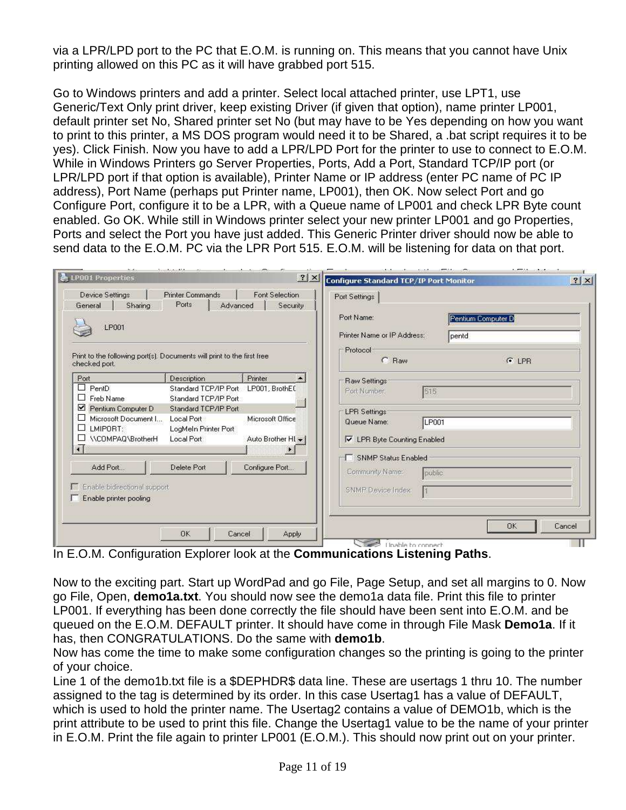via a LPR/LPD port to the PC that E.O.M. is running on. This means that you cannot have Unix printing allowed on this PC as it will have grabbed port 515.

Go to Windows printers and add a printer. Select local attached printer, use LPT1, use Generic/Text Only print driver, keep existing Driver (if given that option), name printer LP001, default printer set No, Shared printer set No (but may have to be Yes depending on how you want to print to this printer, a MS DOS program would need it to be Shared, a .bat script requires it to be yes). Click Finish. Now you have to add a LPR/LPD Port for the printer to use to connect to E.O.M. While in Windows Printers go Server Properties, Ports, Add a Port, Standard TCP/IP port (or LPR/LPD port if that option is available), Printer Name or IP address (enter PC name of PC IP address), Port Name (perhaps put Printer name, LP001), then OK. Now select Port and go Configure Port, configure it to be a LPR, with a Queue name of LP001 and check LPR Byte count enabled. Go OK. While still in Windows printer select your new printer LP001 and go Properties, Ports and select the Port you have just added. This Generic Printer driver should now be able to send data to the E.O.M. PC via the LPR Port 515. E.O.M. will be listening for data on that port.

| LP001                                                                                   |                                                             |                    | Port Name:<br>Printer Name or IP Address:   | Pentium Computer D<br>pentd |
|-----------------------------------------------------------------------------------------|-------------------------------------------------------------|--------------------|---------------------------------------------|-----------------------------|
| Print to the following port(s). Documents will print to the first free<br>checked port. |                                                             |                    | Protocol<br>C Raw                           | G LPR                       |
| Port                                                                                    | Description                                                 | Printer            | <b>Raw Settings</b>                         |                             |
| $\Box$ PentD.<br>$\Box$ Freb Name                                                       | Standard TCP/IP Port LP001, BrothEC<br>Standard TCP/IP Port |                    | Port Number:<br>515                         |                             |
| Pentium Computer D<br>Microsoft Document I<br>ப<br>LMIPORT:                             | Standard TCP/IP Port<br>Local Port<br>LogMeIn Printer Port  | Microsoft Office   | <b>LPR Settings</b><br>LP001<br>Queue Name: |                             |
| ٠D.<br>\\COMPAQ\BrotherH                                                                | Local Port                                                  | Auto Brother HI +1 | <b>V</b> LPR Byte Counting Enabled          |                             |
|                                                                                         |                                                             |                    | <b>SNMP Status Enabled</b>                  |                             |
| Add Port                                                                                | Delete Port                                                 | Configure Port     | Community Name:<br>public                   |                             |
| Enable bidirectional support<br>Enable printer pooling                                  |                                                             |                    | SNMP Device Index:                          |                             |

In E.O.M. Configuration Explorer look at the **Communications Listening Paths**.

Now to the exciting part. Start up WordPad and go File, Page Setup, and set all margins to 0. Now go File, Open, **demo1a.txt**. You should now see the demo1a data file. Print this file to printer LP001. If everything has been done correctly the file should have been sent into E.O.M. and be queued on the E.O.M. DEFAULT printer. It should have come in through File Mask **Demo1a**. If it has, then CONGRATULATIONS. Do the same with **demo1b**.

Now has come the time to make some configuration changes so the printing is going to the printer of your choice.

Line 1 of the demo1b.txt file is a \$DEPHDR\$ data line. These are usertags 1 thru 10. The number assigned to the tag is determined by its order. In this case Usertag1 has a value of DEFAULT, which is used to hold the printer name. The Usertag2 contains a value of DEMO1b, which is the print attribute to be used to print this file. Change the Usertag1 value to be the name of your printer in E.O.M. Print the file again to printer LP001 (E.O.M.). This should now print out on your printer.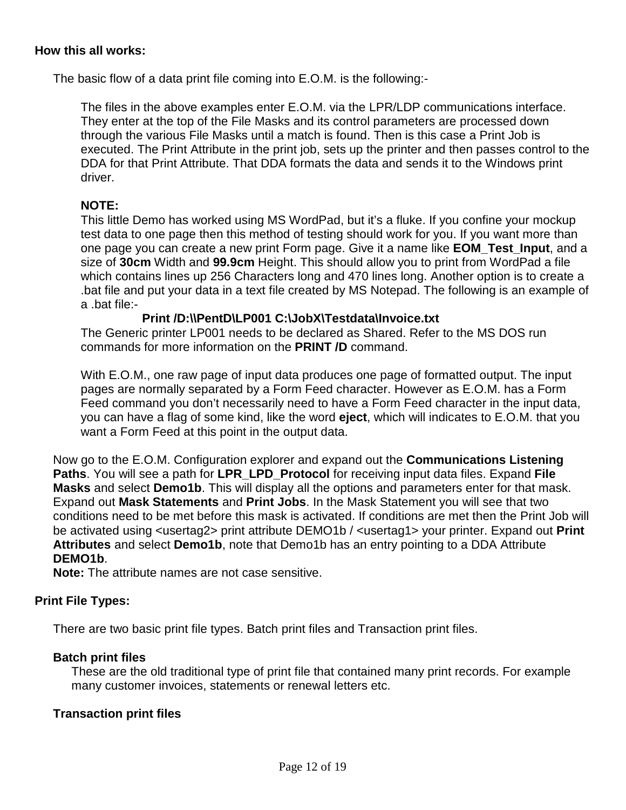#### **How this all works:**

The basic flow of a data print file coming into E.O.M. is the following:-

The files in the above examples enter E.O.M. via the LPR/LDP communications interface. They enter at the top of the File Masks and its control parameters are processed down through the various File Masks until a match is found. Then is this case a Print Job is executed. The Print Attribute in the print job, sets up the printer and then passes control to the DDA for that Print Attribute. That DDA formats the data and sends it to the Windows print driver.

#### **NOTE:**

This little Demo has worked using MS WordPad, but it's a fluke. If you confine your mockup test data to one page then this method of testing should work for you. If you want more than one page you can create a new print Form page. Give it a name like **EOM\_Test\_Input**, and a size of **30cm** Width and **99.9cm** Height. This should allow you to print from WordPad a file which contains lines up 256 Characters long and 470 lines long. Another option is to create a .bat file and put your data in a text file created by MS Notepad. The following is an example of a .bat file:-

#### **Print /D:\\PentD\LP001 C:\JobX\Testdata\Invoice.txt**

The Generic printer LP001 needs to be declared as Shared. Refer to the MS DOS run commands for more information on the **PRINT /D** command.

With E.O.M., one raw page of input data produces one page of formatted output. The input pages are normally separated by a Form Feed character. However as E.O.M. has a Form Feed command you don't necessarily need to have a Form Feed character in the input data, you can have a flag of some kind, like the word **eject**, which will indicates to E.O.M. that you want a Form Feed at this point in the output data.

Now go to the E.O.M. Configuration explorer and expand out the **Communications Listening Paths**. You will see a path for **LPR\_LPD\_Protocol** for receiving input data files. Expand **File Masks** and select **Demo1b**. This will display all the options and parameters enter for that mask. Expand out **Mask Statements** and **Print Jobs**. In the Mask Statement you will see that two conditions need to be met before this mask is activated. If conditions are met then the Print Job will be activated using <usertag2> print attribute DEMO1b / <usertag1> your printer. Expand out **Print Attributes** and select **Demo1b**, note that Demo1b has an entry pointing to a DDA Attribute **DEMO1b**.

**Note:** The attribute names are not case sensitive.

#### **Print File Types:**

There are two basic print file types. Batch print files and Transaction print files.

#### **Batch print files**

These are the old traditional type of print file that contained many print records. For example many customer invoices, statements or renewal letters etc.

#### **Transaction print files**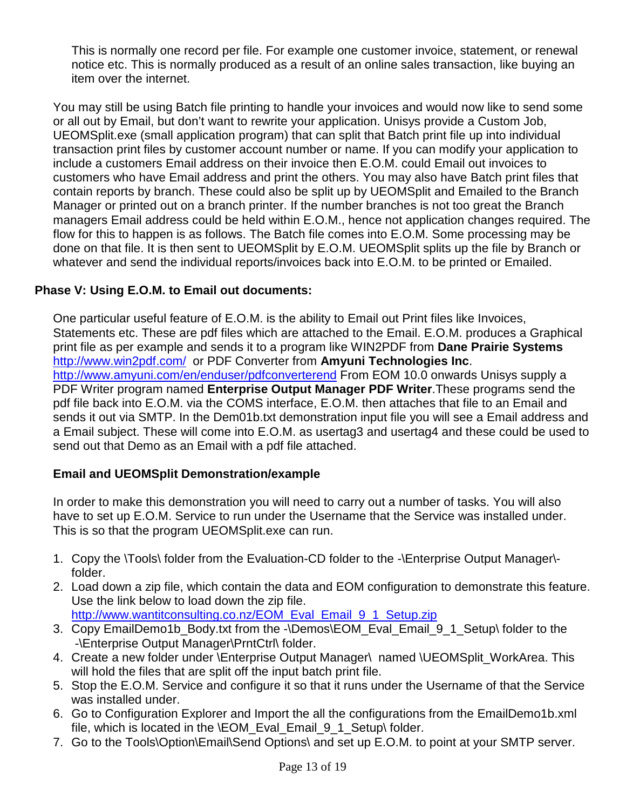This is normally one record per file. For example one customer invoice, statement, or renewal notice etc. This is normally produced as a result of an online sales transaction, like buying an item over the internet.

You may still be using Batch file printing to handle your invoices and would now like to send some or all out by Email, but don't want to rewrite your application. Unisys provide a Custom Job, UEOMSplit.exe (small application program) that can split that Batch print file up into individual transaction print files by customer account number or name. If you can modify your application to include a customers Email address on their invoice then E.O.M. could Email out invoices to customers who have Email address and print the others. You may also have Batch print files that contain reports by branch. These could also be split up by UEOMSplit and Emailed to the Branch Manager or printed out on a branch printer. If the number branches is not too great the Branch managers Email address could be held within E.O.M., hence not application changes required. The flow for this to happen is as follows. The Batch file comes into E.O.M. Some processing may be done on that file. It is then sent to UEOMSplit by E.O.M. UEOMSplit splits up the file by Branch or whatever and send the individual reports/invoices back into E.O.M. to be printed or Emailed.

# **Phase V: Using E.O.M. to Email out documents:**

One particular useful feature of E.O.M. is the ability to Email out Print files like Invoices, Statements etc. These are pdf files which are attached to the Email. E.O.M. produces a Graphical print file as per example and sends it to a program like WIN2PDF from **Dane Prairie Systems**  http://www.win2pdf.com/ or PDF Converter from **Amyuni Technologies Inc**. http://www.amyuni.com/en/enduser/pdfconverterend From EOM 10.0 onwards Unisys supply a PDF Writer program named **Enterprise Output Manager PDF Writer**.These programs send the pdf file back into E.O.M. via the COMS interface, E.O.M. then attaches that file to an Email and sends it out via SMTP. In the Dem01b.txt demonstration input file you will see a Email address and a Email subject. These will come into E.O.M. as usertag3 and usertag4 and these could be used to send out that Demo as an Email with a pdf file attached.

# **Email and UEOMSplit Demonstration/example**

In order to make this demonstration you will need to carry out a number of tasks. You will also have to set up E.O.M. Service to run under the Username that the Service was installed under. This is so that the program UEOMSplit.exe can run.

- 1. Copy the \Tools\ folder from the Evaluation-CD folder to the -\Enterprise Output Manager\ folder.
- 2. Load down a zip file, which contain the data and EOM configuration to demonstrate this feature. Use the link below to load down the zip file. http://www.wantitconsulting.co.nz/EOM\_Eval\_Email\_9\_1\_Setup.zip
- 3. Copy EmailDemo1b\_Body.txt from the -\Demos\EOM\_Eval\_Email\_9\_1\_Setup\ folder to the -\Enterprise Output Manager\PrntCtrl\ folder.
- 4. Create a new folder under \Enterprise Output Manager\ named \UEOMSplit\_WorkArea. This will hold the files that are split off the input batch print file.
- 5. Stop the E.O.M. Service and configure it so that it runs under the Username of that the Service was installed under.
- 6. Go to Configuration Explorer and Import the all the configurations from the EmailDemo1b.xml file, which is located in the \EOM\_Eval\_Email\_9\_1\_Setup\ folder.
- 7. Go to the Tools\Option\Email\Send Options\ and set up E.O.M. to point at your SMTP server.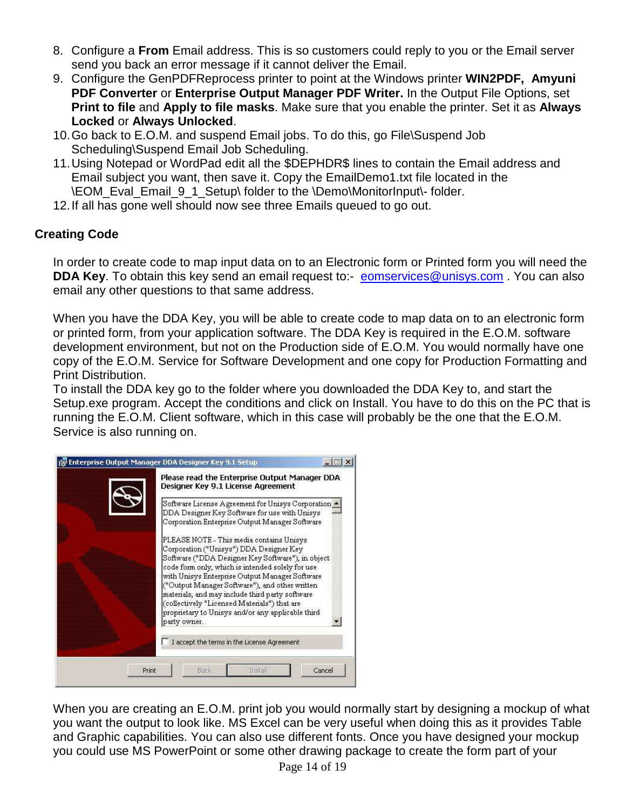- 8. Configure a **From** Email address. This is so customers could reply to you or the Email server send you back an error message if it cannot deliver the Email.
- 9. Configure the GenPDFReprocess printer to point at the Windows printer **WIN2PDF, Amyuni PDF Converter** or **Enterprise Output Manager PDF Writer.** In the Output File Options, set **Print to file** and **Apply to file masks**. Make sure that you enable the printer. Set it as **Always Locked** or **Always Unlocked**.
- 10. Go back to E.O.M. and suspend Email jobs. To do this, go File\Suspend Job Scheduling\Suspend Email Job Scheduling.
- 11. Using Notepad or WordPad edit all the \$DEPHDR\$ lines to contain the Email address and Email subject you want, then save it. Copy the EmailDemo1.txt file located in the \EOM\_Eval\_Email\_9\_1\_Setup\ folder to the \Demo\MonitorInput\- folder.
- 12. If all has gone well should now see three Emails queued to go out.

# **Creating Code**

In order to create code to map input data on to an Electronic form or Printed form you will need the **DDA Key**. To obtain this key send an email request to:- eomservices@unisys.com. You can also email any other questions to that same address.

When you have the DDA Key, you will be able to create code to map data on to an electronic form or printed form, from your application software. The DDA Key is required in the E.O.M. software development environment, but not on the Production side of E.O.M. You would normally have one copy of the E.O.M. Service for Software Development and one copy for Production Formatting and Print Distribution.

To install the DDA key go to the folder where you downloaded the DDA Key to, and start the Setup.exe program. Accept the conditions and click on Install. You have to do this on the PC that is running the E.O.M. Client software, which in this case will probably be the one that the E.O.M. Service is also running on.

|       | Please read the Enterprise Output Manager DDA<br>Designer Key 9.1 License Agreement                                                                                                                                                                                                                                                                                                                                                                                      |
|-------|--------------------------------------------------------------------------------------------------------------------------------------------------------------------------------------------------------------------------------------------------------------------------------------------------------------------------------------------------------------------------------------------------------------------------------------------------------------------------|
|       | Software License Agreement for Unisys Corporation -<br>DDA Designer Key Software for use with Unisys<br>Corporation Enterprise Output Manager Software                                                                                                                                                                                                                                                                                                                   |
|       | PLEASE NOTE - This media contains Unisys<br>Corporation ("Unisys") DDA Designer Key<br>Software ("DDA Designer Key Software"), in object<br>code form only, which is intended solely for use<br>with Unisys Enterprise Output Manager Software<br>("Output Manager Software"), and other written<br>materials, and may include third party software<br>(collectively "Licensed Materials") that are<br>proprietary to Unisys and/or any applicable third<br>party owner. |
|       | I accept the terms in the License Agreement                                                                                                                                                                                                                                                                                                                                                                                                                              |
| Print | Cancel<br>Install<br>Rack                                                                                                                                                                                                                                                                                                                                                                                                                                                |

When you are creating an E.O.M. print job you would normally start by designing a mockup of what you want the output to look like. MS Excel can be very useful when doing this as it provides Table and Graphic capabilities. You can also use different fonts. Once you have designed your mockup you could use MS PowerPoint or some other drawing package to create the form part of your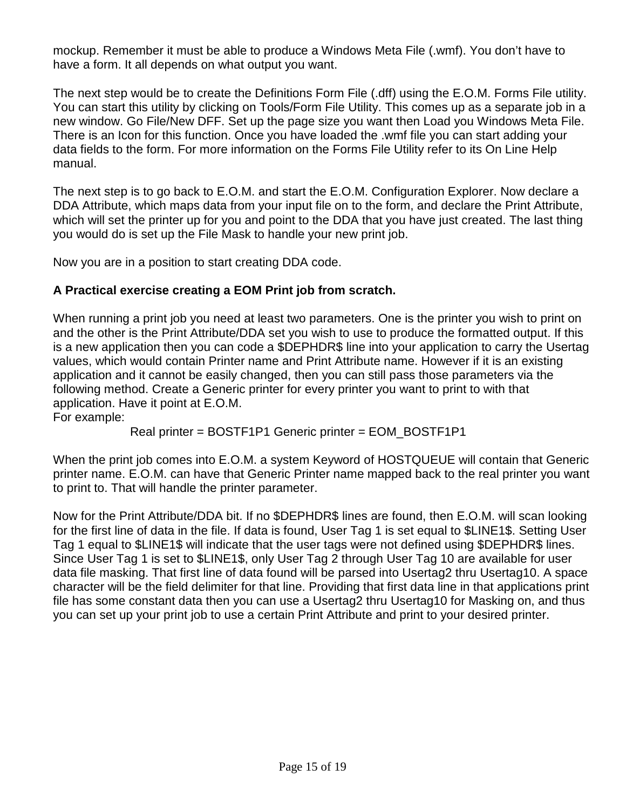mockup. Remember it must be able to produce a Windows Meta File (.wmf). You don't have to have a form. It all depends on what output you want.

The next step would be to create the Definitions Form File (.dff) using the E.O.M. Forms File utility. You can start this utility by clicking on Tools/Form File Utility. This comes up as a separate job in a new window. Go File/New DFF. Set up the page size you want then Load you Windows Meta File. There is an Icon for this function. Once you have loaded the .wmf file you can start adding your data fields to the form. For more information on the Forms File Utility refer to its On Line Help manual.

The next step is to go back to E.O.M. and start the E.O.M. Configuration Explorer. Now declare a DDA Attribute, which maps data from your input file on to the form, and declare the Print Attribute, which will set the printer up for you and point to the DDA that you have just created. The last thing you would do is set up the File Mask to handle your new print job.

Now you are in a position to start creating DDA code.

# **A Practical exercise creating a EOM Print job from scratch.**

When running a print job you need at least two parameters. One is the printer you wish to print on and the other is the Print Attribute/DDA set you wish to use to produce the formatted output. If this is a new application then you can code a \$DEPHDR\$ line into your application to carry the Usertag values, which would contain Printer name and Print Attribute name. However if it is an existing application and it cannot be easily changed, then you can still pass those parameters via the following method. Create a Generic printer for every printer you want to print to with that application. Have it point at E.O.M.

For example:

Real printer = BOSTF1P1 Generic printer = EOM\_BOSTF1P1

When the print job comes into E.O.M. a system Keyword of HOSTQUEUE will contain that Generic printer name. E.O.M. can have that Generic Printer name mapped back to the real printer you want to print to. That will handle the printer parameter.

Now for the Print Attribute/DDA bit. If no \$DEPHDR\$ lines are found, then E.O.M. will scan looking for the first line of data in the file. If data is found, User Tag 1 is set equal to \$LINE1\$. Setting User Tag 1 equal to \$LINE1\$ will indicate that the user tags were not defined using \$DEPHDR\$ lines. Since User Tag 1 is set to \$LINE1\$, only User Tag 2 through User Tag 10 are available for user data file masking. That first line of data found will be parsed into Usertag2 thru Usertag10. A space character will be the field delimiter for that line. Providing that first data line in that applications print file has some constant data then you can use a Usertag2 thru Usertag10 for Masking on, and thus you can set up your print job to use a certain Print Attribute and print to your desired printer.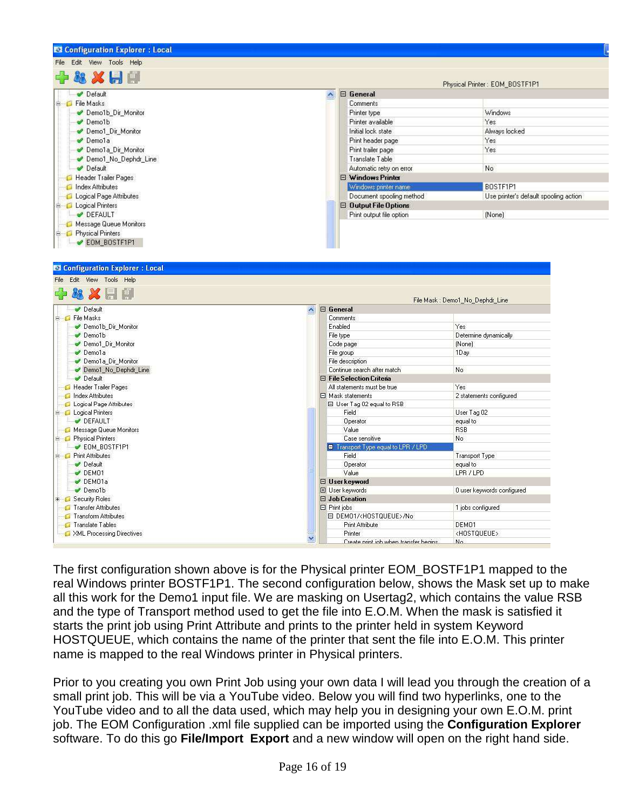| <b>EX Configuration Explorer: Local</b>                                  |                                      |                                       |  |
|--------------------------------------------------------------------------|--------------------------------------|---------------------------------------|--|
| File Edit View Tools Help                                                |                                      |                                       |  |
| Physical Printer: EOM_BOSTF1P1                                           |                                      |                                       |  |
| Default                                                                  | $\boxminus$ General<br>٨             |                                       |  |
| <b>E</b> File Masks                                                      | Comments                             |                                       |  |
| Demo1b_Dir_Monitor                                                       | Printer type                         | Windows                               |  |
| Demo1b                                                                   | Printer available                    | Yes                                   |  |
| Demo1 Dir Monitor                                                        | Initial lock state                   | Always locked                         |  |
| Demola                                                                   | Print header page                    | Yes                                   |  |
| Demo1a Dir Monitor                                                       | Print trailer page                   | Yes                                   |  |
| Demo1 No Dephdr Line                                                     | Translate Table                      |                                       |  |
| Default                                                                  | Automatic retry on error.            | No                                    |  |
| Header Trailer Pages                                                     | $\boxminus$ Windows Printer          |                                       |  |
| Index Attributes                                                         | Windows printer name                 | BOSTF1P1                              |  |
| Logical Page Attributes                                                  | Document spooling method             | Use printer's default spooling action |  |
| <b>B</b> Logical Printers                                                | $\boxminus$ Output File Options      |                                       |  |
| DEFAULT                                                                  | Print output file option             | (None)                                |  |
| Message Queue Monitors                                                   |                                      |                                       |  |
| <b>E</b> Physical Printers                                               |                                      |                                       |  |
| <b>₩ EOM_BOSTF1P1</b>                                                    |                                      |                                       |  |
| File Edit View Tools Help                                                |                                      |                                       |  |
|                                                                          |                                      | File Mask: Demo1_No_Dephdr_Line       |  |
| Default                                                                  | $\Box$ General<br>$\sim$             |                                       |  |
| E File Masks                                                             | Comments                             |                                       |  |
| Demo1b_Dir_Monitor                                                       | Enabled                              | Yes                                   |  |
| Demo1b                                                                   | File type                            | Determine dynamically                 |  |
| Demo1_Dir_Monitor<br>Demola                                              | Code page<br>File group              | (None)<br>1Day                        |  |
| Demola Dir Monitor                                                       | File description                     |                                       |  |
| Demo1 No Dephdr Line                                                     | Continue search after match          | No                                    |  |
| Default                                                                  | <b>El File Selection Criteria</b>    |                                       |  |
| Header Trailer Pages                                                     | All statements must be true.         | Yes                                   |  |
| Index Attributes                                                         | $\Box$ Mask statements               | 2 statements configured               |  |
| Logical Page Attributes                                                  | 日 User Tag 02 equal to RSB           |                                       |  |
| <b>B</b> Logical Printers                                                | Field                                | User Tag 02                           |  |
| DEFAULT                                                                  | Operator                             | equal to                              |  |
| Message Queue Monitors                                                   | Value                                | <b>RSB</b>                            |  |
| <b>B</b> Physical Printers                                               | Case sensitive                       | No                                    |  |
| $\rightarrow$ EOM_BOSTF1P1                                               | Transport Type equal to LPR / LPD    |                                       |  |
| <b>E</b> Print Attributes                                                | Field                                | Transport Type                        |  |
| Default                                                                  | Operator                             | equal to                              |  |
| $\nu$ DEM01                                                              |                                      |                                       |  |
| DEMO1a                                                                   | Value                                | LPR / LPD                             |  |
|                                                                          | □ User keyword                       |                                       |  |
| Demo1b                                                                   | El User keywords                     | 0 user keywords configured            |  |
|                                                                          | □ Job Creation                       |                                       |  |
| Transfer Attributes                                                      | $\Box$ Print jobs                    | 1 jobs configured                     |  |
| Transform Attributes                                                     | EI DEMO1/ <hostqueue>/No</hostqueue> |                                       |  |
| <b>E</b> Security Roles<br>Translate Tables<br>XML Processing Directives | <b>Print Attribute</b><br>Printer    | DEM01<br><hostqueue></hostqueue>      |  |

The first configuration shown above is for the Physical printer EOM\_BOSTF1P1 mapped to the real Windows printer BOSTF1P1. The second configuration below, shows the Mask set up to make all this work for the Demo1 input file. We are masking on Usertag2, which contains the value RSB and the type of Transport method used to get the file into E.O.M. When the mask is satisfied it starts the print job using Print Attribute and prints to the printer held in system Keyword HOSTQUEUE, which contains the name of the printer that sent the file into E.O.M. This printer name is mapped to the real Windows printer in Physical printers.

Prior to you creating you own Print Job using your own data I will lead you through the creation of a small print job. This will be via a YouTube video. Below you will find two hyperlinks, one to the YouTube video and to all the data used, which may help you in designing your own E.O.M. print job. The EOM Configuration .xml file supplied can be imported using the **Configuration Explorer** software. To do this go **File/Import Export** and a new window will open on the right hand side.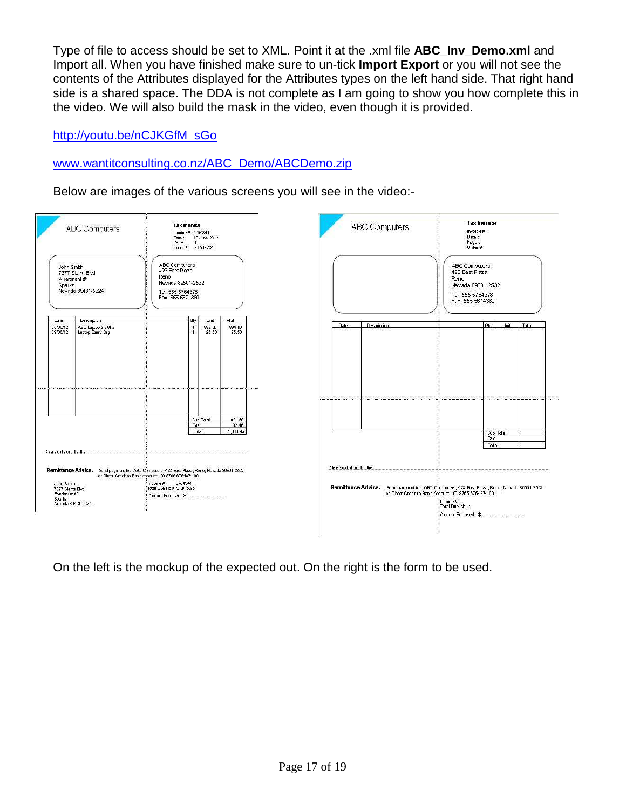Type of file to access should be set to XML. Point it at the .xml file **ABC\_Inv\_Demo.xml** and Import all. When you have finished make sure to un-tick **Import Export** or you will not see the contents of the Attributes displayed for the Attributes types on the left hand side. That right hand side is a shared space. The DDA is not complete as I am going to show you how complete this in the video. We will also build the mask in the video, even though it is provided.

http://youtu.be/nCJKGfM\_sGo

# www.wantitconsulting.co.nz/ABC\_Demo/ABCDemo.zip

Below are images of the various screens you will see in the video:-



On the left is the mockup of the expected out. On the right is the form to be used.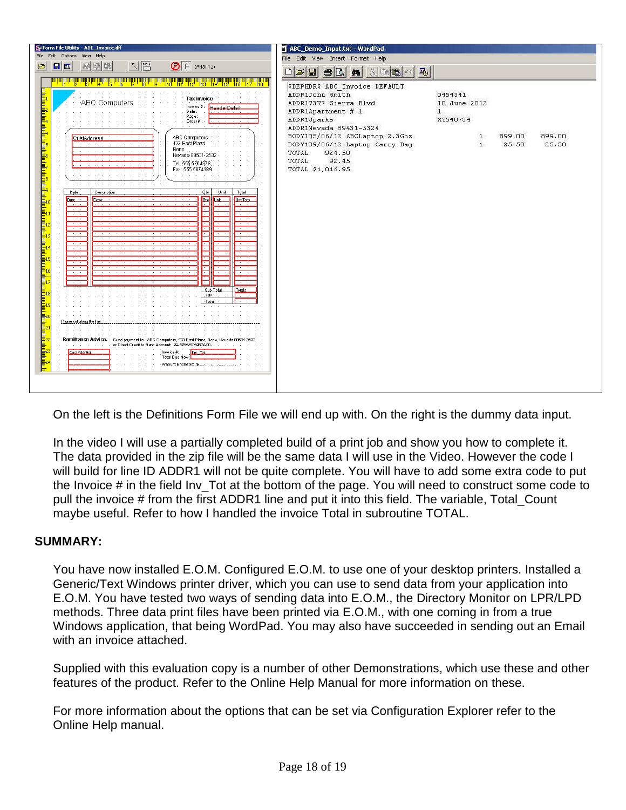| Form File Utility - ABC_Invoice.dff                                                                                                                                                                                                                                                                                                                                                                                                                                                                                                                                                                                                                                                                                                                                                                                                                                                                                                                                                                                                                                                                    | ABC_Demo_Input.txt - WordPad                                                                                                                                                                                                                                                                                                                                                                                                                                                                                                                                                                                                                                                                                                       |
|--------------------------------------------------------------------------------------------------------------------------------------------------------------------------------------------------------------------------------------------------------------------------------------------------------------------------------------------------------------------------------------------------------------------------------------------------------------------------------------------------------------------------------------------------------------------------------------------------------------------------------------------------------------------------------------------------------------------------------------------------------------------------------------------------------------------------------------------------------------------------------------------------------------------------------------------------------------------------------------------------------------------------------------------------------------------------------------------------------|------------------------------------------------------------------------------------------------------------------------------------------------------------------------------------------------------------------------------------------------------------------------------------------------------------------------------------------------------------------------------------------------------------------------------------------------------------------------------------------------------------------------------------------------------------------------------------------------------------------------------------------------------------------------------------------------------------------------------------|
| File Edit Options View Help                                                                                                                                                                                                                                                                                                                                                                                                                                                                                                                                                                                                                                                                                                                                                                                                                                                                                                                                                                                                                                                                            | File Edit View Insert Format Help                                                                                                                                                                                                                                                                                                                                                                                                                                                                                                                                                                                                                                                                                                  |
| $\n  \sqrt{\frac{\text{FIEU}}{\text{FU}}}\n\boxed{\bigcirc} F (Arial 12)興輸取\Box\triangleright$                                                                                                                                                                                                                                                                                                                                                                                                                                                                                                                                                                                                                                                                                                                                                                                                                                                                                                                                                                                                         |                                                                                                                                                                                                                                                                                                                                                                                                                                                                                                                                                                                                                                                                                                                                    |
|                                                                                                                                                                                                                                                                                                                                                                                                                                                                                                                                                                                                                                                                                                                                                                                                                                                                                                                                                                                                                                                                                                        |                                                                                                                                                                                                                                                                                                                                                                                                                                                                                                                                                                                                                                                                                                                                    |
| <u> 대용하다 법화에 분화에 붙잡게 맞았다</u><br>12 13 14 15 12<br>Tax invoice<br>ABC Computers<br>Invoice#: HeaderDetail<br>Date:<br>Page: .<br>Order#:<br><u>հանգաման անհամանքների մասնական անհամանքների մասնական անհանգաման ան</u><br>All Arrest<br>ABC Computers<br><b>CustAddress</b><br>423 East Plaza<br>Reno<br>$\sim$<br>the contract of the contract of the contract of<br>Nevada 89501-2532<br>Tel: 555 5764378<br>F.ax: 555 567 4389<br>Total<br>Date<br>Description<br>Unit<br>Óty<br>$\boxed{\text{ex}}$<br>Line Tots<br>Desc:<br><b>Unit</b><br>Date<br>$\sim$<br>$\sim$<br>$\sim$ $\sim$ $\sim$<br>$\overline{\phantom{a}}$<br>$\overline{\phantom{a}}$<br>$\overline{\phantom{a}}$<br>$\overline{\phantom{a}}$<br>Sub Total<br>Totals<br>Tax<br>Total<br>Please out along the line : ;<br>Remittance Advice. - Send payment to:- ABC Computers, 423 East Plaza, Reno, Nevada 89501-2532<br>No. 1998-1999 - Contract Credit to Bank Account: 99-8765-875487400<br>Invoice #:<br>Cust Addreot<br>Inv Tot<br>Total Due Now:<br>and a contract and a contract and a contract and a contract and a contract | $\begin{picture}(150,10) \put(0,0){\line(1,0){10}} \put(15,0){\line(1,0){10}} \put(15,0){\line(1,0){10}} \put(15,0){\line(1,0){10}} \put(15,0){\line(1,0){10}} \put(15,0){\line(1,0){10}} \put(15,0){\line(1,0){10}} \put(15,0){\line(1,0){10}} \put(15,0){\line(1,0){10}} \put(15,0){\line(1,0){10}} \put(15,0){\line(1,0){10}} \put(15,0){\line($<br>SDEPHDRS ABC_Invoice DEFAULT<br>ADDR1John Smith<br>0454341<br>ADDR17377 Sierra Blvd<br>10 June 2012<br>ADDR1Apartment # 1<br>$\mathbf{1}$<br>XY548734<br>ADDR1Sparks<br>ADDR1Nevada 89431-5324<br>BODY105/06/12 ABCLaptop 2.3Ghz<br>899.00<br>899.00<br>1<br>25.50<br>BODY109/06/12 Laptop Carry Bag<br>1<br>25.50<br>924.50<br>TOTAL<br>92.45<br>TOTAL<br>TOTAL \$1,016.95 |

On the left is the Definitions Form File we will end up with. On the right is the dummy data input.

In the video I will use a partially completed build of a print job and show you how to complete it. The data provided in the zip file will be the same data I will use in the Video. However the code I will build for line ID ADDR1 will not be quite complete. You will have to add some extra code to put the Invoice # in the field Inv Tot at the bottom of the page. You will need to construct some code to pull the invoice # from the first ADDR1 line and put it into this field. The variable, Total\_Count maybe useful. Refer to how I handled the invoice Total in subroutine TOTAL.

#### **SUMMARY:**

You have now installed E.O.M. Configured E.O.M. to use one of your desktop printers. Installed a Generic/Text Windows printer driver, which you can use to send data from your application into E.O.M. You have tested two ways of sending data into E.O.M., the Directory Monitor on LPR/LPD methods. Three data print files have been printed via E.O.M., with one coming in from a true Windows application, that being WordPad. You may also have succeeded in sending out an Email with an invoice attached.

Supplied with this evaluation copy is a number of other Demonstrations, which use these and other features of the product. Refer to the Online Help Manual for more information on these.

For more information about the options that can be set via Configuration Explorer refer to the Online Help manual.